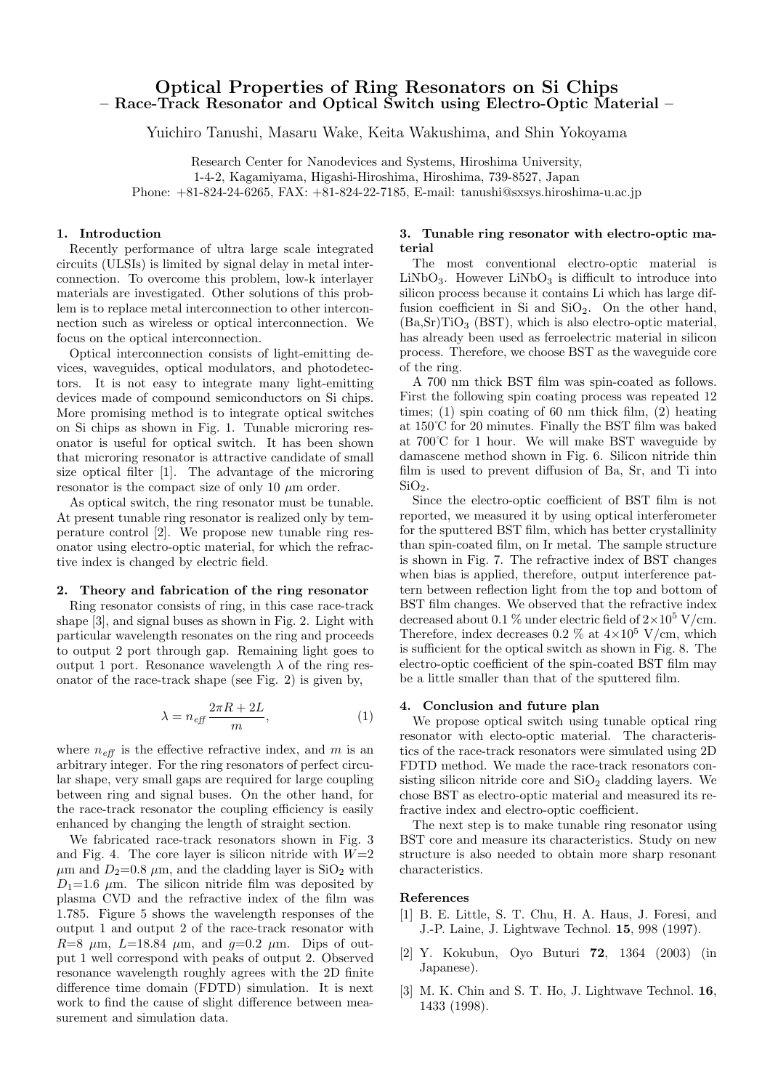# **Optical Properties of Ring Resonators on Si Chips – Race-Track Resonator and Optical Switch using Electro-Optic Material –**

Yuichiro Tanushi, Masaru Wake, Keita Wakushima, and Shin Yokoyama

Research Center for Nanodevices and Systems, Hiroshima University, 1-4-2, Kagamiyama, Higashi-Hiroshima, Hiroshima, 739-8527, Japan Phone: +81-824-24-6265, FAX: +81-824-22-7185, E-mail: tanushi@sxsys.hiroshima-u.ac.jp

## **1. Introduction**

Recently performance of ultra large scale integrated circuits (ULSIs) is limited by signal delay in metal interconnection. To overcome this problem, low-k interlayer materials are investigated. Other solutions of this problem is to replace metal interconnection to other interconnection such as wireless or optical interconnection. We focus on the optical interconnection.

Optical interconnection consists of light-emitting devices, waveguides, optical modulators, and photodetectors. It is not easy to integrate many light-emitting devices made of compound semiconductors on Si chips. More promising method is to integrate optical switches on Si chips as shown in Fig. 1. Tunable microring resonator is useful for optical switch. It has been shown that microring resonator is attractive candidate of small size optical filter [1]. The advantage of the microring resonator is the compact size of only 10  $\mu$ m order.

As optical switch, the ring resonator must be tunable. At present tunable ring resonator is realized only by temperature control [2]. We propose new tunable ring resonator using electro-optic material, for which the refractive index is changed by electric field.

#### **2. Theory and fabrication of the ring resonator**

Ring resonator consists of ring, in this case race-track shape [3], and signal buses as shown in Fig. 2. Light with particular wavelength resonates on the ring and proceeds to output 2 port through gap. Remaining light goes to output 1 port. Resonance wavelength  $\lambda$  of the ring resonator of the race-track shape (see Fig. 2) is given by,

$$
\lambda = n_{\text{eff}} \frac{2\pi R + 2L}{m},\tag{1}
$$

where  $n_{\text{eff}}$  is the effective refractive index, and m is an arbitrary integer. For the ring resonators of perfect circular shape, very small gaps are required for large coupling between ring and signal buses. On the other hand, for the race-track resonator the coupling efficiency is easily enhanced by changing the length of straight section.

We fabricated race-track resonators shown in Fig. 3 and Fig. 4. The core layer is silicon nitride with  $W=2$  $\mu$ m and  $D_2=0.8 \mu$ m, and the cladding layer is SiO<sub>2</sub> with  $D_1=1.6$   $\mu$ m. The silicon nitride film was deposited by plasma CVD and the refractive index of the film was 1.785. Figure 5 shows the wavelength responses of the output 1 and output 2 of the race-track resonator with  $R=8$   $\mu$ m,  $L=18.84$   $\mu$ m, and  $q=0.2$   $\mu$ m. Dips of output 1 well correspond with peaks of output 2. Observed resonance wavelength roughly agrees with the 2D finite difference time domain (FDTD) simulation. It is next work to find the cause of slight difference between measurement and simulation data.

# **3. Tunable ring resonator with electro-optic material**

The most conventional electro-optic material is  $LiNbO<sub>3</sub>$ . However  $LiNbO<sub>3</sub>$  is difficult to introduce into silicon process because it contains Li which has large diffusion coefficient in Si and  $SiO<sub>2</sub>$ . On the other hand,  $(Ba, Sr)TiO<sub>3</sub>$  (BST), which is also electro-optic material, has already been used as ferroelectric material in silicon process. Therefore, we choose BST as the waveguide core of the ring.

A 700 nm thick BST film was spin-coated as follows. First the following spin coating process was repeated 12 times;  $(1)$  spin coating of 60 nm thick film,  $(2)$  heating at 150˚C for 20 minutes. Finally the BST film was baked at 700˚C for 1 hour. We will make BST waveguide by damascene method shown in Fig. 6. Silicon nitride thin film is used to prevent diffusion of Ba, Sr, and Ti into  $SiO<sub>2</sub>$ .

Since the electro-optic coefficient of BST film is not reported, we measured it by using optical interferometer for the sputtered BST film, which has better crystallinity than spin-coated film, on Ir metal. The sample structure is shown in Fig. 7. The refractive index of BST changes when bias is applied, therefore, output interference pattern between reflection light from the top and bottom of BST film changes. We observed that the refractive index decreased about 0.1 % under electric field of  $2\times10^5$  V/cm. Therefore, index decreases 0.2  $\%$  at  $4 \times 10^5$  V/cm, which is sufficient for the optical switch as shown in Fig. 8. The electro-optic coefficient of the spin-coated BST film may be a little smaller than that of the sputtered film.

### **4. Conclusion and future plan**

We propose optical switch using tunable optical ring resonator with electo-optic material. The characteristics of the race-track resonators were simulated using 2D FDTD method. We made the race-track resonators consisting silicon nitride core and  $SiO<sub>2</sub>$  cladding layers. We chose BST as electro-optic material and measured its refractive index and electro-optic coefficient.

The next step is to make tunable ring resonator using BST core and measure its characteristics. Study on new structure is also needed to obtain more sharp resonant characteristics.

### **References**

- [1] B. E. Little, S. T. Chu, H. A. Haus, J. Foresi, and J.-P. Laine, J. Lightwave Technol. **15**, 998 (1997).
- [2] Y. Kokubun, Oyo Buturi **72**, 1364 (2003) (in Japanese).
- [3] M. K. Chin and S. T. Ho, J. Lightwave Technol. **16**, 1433 (1998).